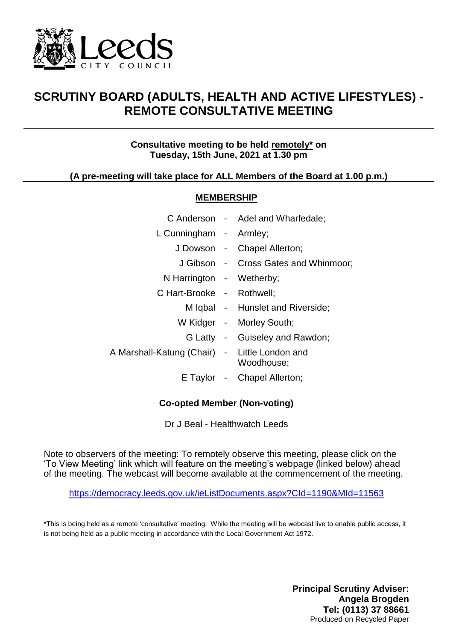

## **SCRUTINY BOARD (ADULTS, HEALTH AND ACTIVE LIFESTYLES) - REMOTE CONSULTATIVE MEETING**

## **Consultative meeting to be held remotely\* on Tuesday, 15th June, 2021 at 1.30 pm**

## **(A pre-meeting will take place for ALL Members of the Board at 1.00 p.m.)**

#### **MEMBERSHIP**

|                                               | C Anderson - Adel and Wharfedale;    |
|-----------------------------------------------|--------------------------------------|
| L Cunningham - Armley;                        |                                      |
|                                               | J Dowson - Chapel Allerton;          |
|                                               | J Gibson - Cross Gates and Whinmoor; |
| N Harrington - Wetherby;                      |                                      |
| C Hart-Brooke - Rothwell;                     |                                      |
|                                               | M Iqbal - Hunslet and Riverside;     |
|                                               | W Kidger - Morley South;             |
|                                               | G Latty - Guiseley and Rawdon;       |
| A Marshall-Katung (Chair) - Little London and | Woodhouse;                           |
|                                               | E Taylor - Chapel Allerton;          |

## **Co-opted Member (Non-voting)**

Dr J Beal - Healthwatch Leeds

Note to observers of the meeting: To remotely observe this meeting, please click on the 'To View Meeting' link which will feature on the meeting's webpage (linked below) ahead of the meeting. The webcast will become available at the commencement of the meeting.

<https://democracy.leeds.gov.uk/ieListDocuments.aspx?CId=1190&MId=11563>

\*This is being held as a remote 'consultative' meeting. While the meeting will be webcast live to enable public access, it is not being held as a public meeting in accordance with the Local Government Act 1972.

> **Principal Scrutiny Adviser: Angela Brogden Tel: (0113) 37 88661** Produced on Recycled Paper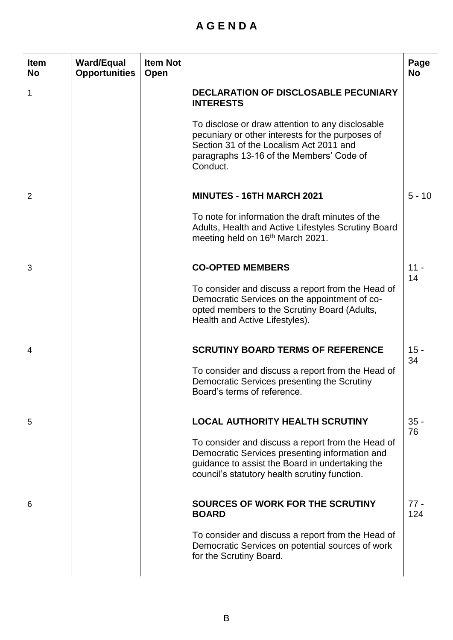# **A G E N D A**

| <b>Item</b><br><b>No</b> | <b>Ward/Equal</b><br><b>Opportunities</b> | <b>Item Not</b><br>Open |                                                                                                                                                                                                         | Page<br><b>No</b> |
|--------------------------|-------------------------------------------|-------------------------|---------------------------------------------------------------------------------------------------------------------------------------------------------------------------------------------------------|-------------------|
| 1                        |                                           |                         | DECLARATION OF DISCLOSABLE PECUNIARY<br><b>INTERESTS</b>                                                                                                                                                |                   |
|                          |                                           |                         | To disclose or draw attention to any disclosable<br>pecuniary or other interests for the purposes of<br>Section 31 of the Localism Act 2011 and<br>paragraphs 13-16 of the Members' Code of<br>Conduct. |                   |
| 2                        |                                           |                         | <b>MINUTES - 16TH MARCH 2021</b>                                                                                                                                                                        | $5 - 10$          |
|                          |                                           |                         | To note for information the draft minutes of the<br>Adults, Health and Active Lifestyles Scrutiny Board<br>meeting held on 16 <sup>th</sup> March 2021.                                                 |                   |
| 3                        |                                           |                         | <b>CO-OPTED MEMBERS</b>                                                                                                                                                                                 | $11 -$<br>14      |
|                          |                                           |                         | To consider and discuss a report from the Head of<br>Democratic Services on the appointment of co-<br>opted members to the Scrutiny Board (Adults,<br>Health and Active Lifestyles).                    |                   |
| 4                        |                                           |                         | <b>SCRUTINY BOARD TERMS OF REFERENCE</b>                                                                                                                                                                | $15 -$<br>34      |
|                          |                                           |                         | To consider and discuss a report from the Head of<br>Democratic Services presenting the Scrutiny<br>Board's terms of reference.                                                                         |                   |
| 5                        |                                           |                         | <b>LOCAL AUTHORITY HEALTH SCRUTINY</b>                                                                                                                                                                  | $35 -$<br>76      |
|                          |                                           |                         | To consider and discuss a report from the Head of<br>Democratic Services presenting information and<br>guidance to assist the Board in undertaking the<br>council's statutory health scrutiny function. |                   |
| 6                        |                                           |                         | SOURCES OF WORK FOR THE SCRUTINY<br><b>BOARD</b>                                                                                                                                                        | $77 -$<br>124     |
|                          |                                           |                         | To consider and discuss a report from the Head of<br>Democratic Services on potential sources of work<br>for the Scrutiny Board.                                                                        |                   |